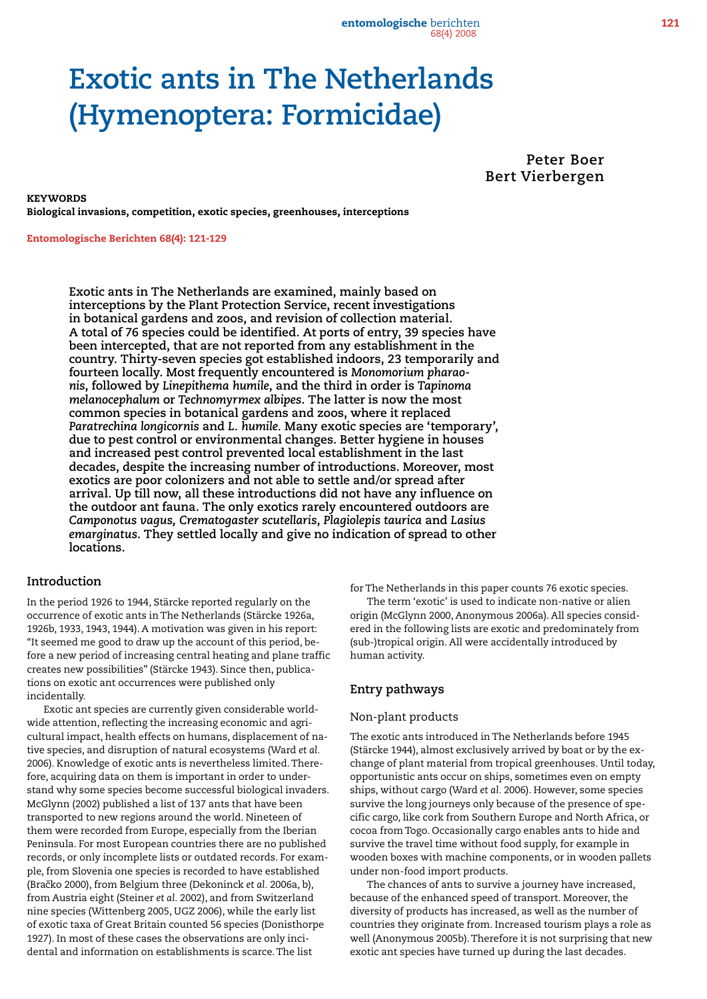entomologische berichten 121 68(4) 2008

# **Exotic ants in The Netherlands (Hymenoptera: Formicidae)**

**Peter Boer Bert Vierbergen**

**KEYWORDS** Biological invasions, competition, exotic species, greenhouses, interceptions

Entomologische Berichten 68(4): 121-129

**Exotic ants in The Netherlands are examined, mainly based on interceptions by the Plant Protection Service, recent investigations in botanical gardens and zoos, and revision of collection material. A total of 76 species could be identified. At ports of entry, 39 species have been intercepted, that are not reported from any establishment in the country. Thirty-seven species got established indoors, 23 temporarily and fourteen locally. Most frequently encountered is** *Monomorium pharaonis***, followed by** *Linepithema humile***, and the third in order is** *Tapinoma melanocephalum* **or** *Technomyrmex albipes***. The latter is now the most common species in botanical gardens and zoos, where it replaced**  *Paratrechina longicornis* **and** *L. humile.* **Many exotic species are 'temporary', due to pest control or environmental changes. Better hygiene in houses and increased pest control prevented local establishment in the last decades, despite the increasing number of introductions. Moreover, most exotics are poor colonizers and not able to settle and/or spread after arrival. Up till now, all these introductions did not have any influence on the outdoor ant fauna. The only exotics rarely encountered outdoors are**  *Camponotus vagus, Crematogaster scutellaris***,** *Plagiolepis taurica* **and** *Lasius emarginatus***. They settled locally and give no indication of spread to other locations.** 

## **Introduction**

In the period 1926 to 1944, Stärcke reported regularly on the occurrence of exotic ants in The Netherlands (Stärcke 1926a, 1926b, 1933, 1943, 1944). A motivation was given in his report: "It seemed me good to draw up the account of this period, before a new period of increasing central heating and plane traffic creates new possibilities" (Stärcke 1943). Since then, publications on exotic ant occurrences were published only incidentally.

Exotic ant species are currently given considerable worldwide attention, reflecting the increasing economic and agricultural impact, health effects on humans, displacement of native species, and disruption of natural ecosystems (Ward *et al.* 2006). Knowledge of exotic ants is nevertheless limited. Therefore, acquiring data on them is important in order to understand why some species become successful biological invaders. McGlynn (2002) published a list of 137 ants that have been transported to new regions around the world. Nineteen of them were recorded from Europe, especially from the Iberian Peninsula. For most European countries there are no published records, or only incomplete lists or outdated records. For example, from Slovenia one species is recorded to have established (Braˇcko 2000), from Belgium three (Dekoninck *et al.* 2006a, b), from Austria eight (Steiner *et al.* 2002), and from Switzerland nine species (Wittenberg 2005, UGZ 2006), while the early list of exotic taxa of Great Britain counted 56 species (Donisthorpe 1927). In most of these cases the observations are only incidental and information on establishments is scarce. The list

for The Netherlands in this paper counts 76 exotic species. The term 'exotic' is used to indicate non-native or alien origin (McGlynn 2000, Anonymous 2006a). All species considered in the following lists are exotic and predominately from (sub-)tropical origin. All were accidentally introduced by human activity.

#### **Entry pathways**

#### Non-plant products

The exotic ants introduced in The Netherlands before 1945 (Stärcke 1944), almost exclusively arrived by boat or by the exchange of plant material from tropical greenhouses. Until today, opportunistic ants occur on ships, sometimes even on empty ships, without cargo (Ward *et al.* 2006). However, some species survive the long journeys only because of the presence of specific cargo, like cork from Southern Europe and North Africa, or cocoa from Togo. Occasionally cargo enables ants to hide and survive the travel time without food supply, for example in wooden boxes with machine components, or in wooden pallets under non-food import products.

The chances of ants to survive a journey have increased, because of the enhanced speed of transport. Moreover, the diversity of products has increased, as well as the number of countries they originate from. Increased tourism plays a role as well (Anonymous 2005b). Therefore it is not surprising that new exotic ant species have turned up during the last decades.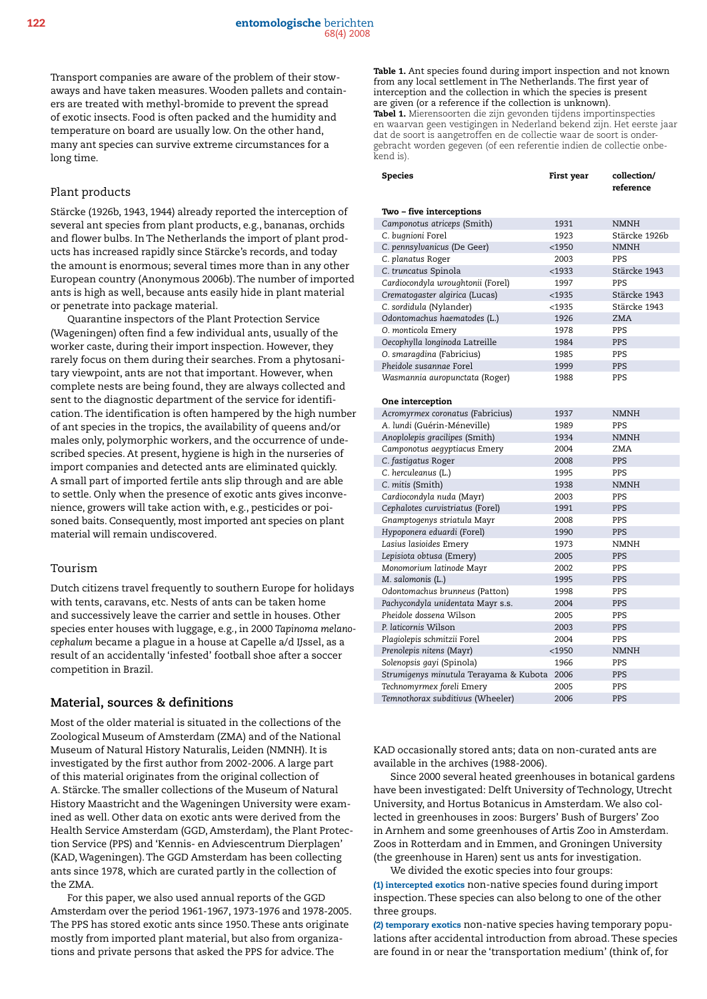Transport companies are aware of the problem of their stowaways and have taken measures. Wooden pallets and containers are treated with methyl-bromide to prevent the spread of exotic insects. Food is often packed and the humidity and temperature on board are usually low. On the other hand, many ant species can survive extreme circumstances for a long time.

#### Plant products

Stärcke (1926b, 1943, 1944) already reported the interception of several ant species from plant products, e.g., bananas, orchids and flower bulbs. In The Netherlands the import of plant products has increased rapidly since Stärcke's records, and today the amount is enormous; several times more than in any other European country (Anonymous 2006b). The number of imported ants is high as well, because ants easily hide in plant material or penetrate into package material.

Quarantine inspectors of the Plant Protection Service (Wageningen) often find a few individual ants, usually of the worker caste, during their import inspection. However, they rarely focus on them during their searches. From a phytosanitary viewpoint, ants are not that important. However, when complete nests are being found, they are always collected and sent to the diagnostic department of the service for identification. The identification is often hampered by the high number of ant species in the tropics, the availability of queens and/or males only, polymorphic workers, and the occurrence of undescribed species. At present, hygiene is high in the nurseries of import companies and detected ants are eliminated quickly. A small part of imported fertile ants slip through and are able to settle. Only when the presence of exotic ants gives inconvenience, growers will take action with, e.g., pesticides or poisoned baits. Consequently, most imported ant species on plant material will remain undiscovered.

#### Tourism

Dutch citizens travel frequently to southern Europe for holidays with tents, caravans, etc. Nests of ants can be taken home and successively leave the carrier and settle in houses. Other species enter houses with luggage, e.g., in 2000 *Tapinoma melanocephalum* became a plague in a house at Capelle a/d IJssel, as a result of an accidentally 'infested' football shoe after a soccer competition in Brazil.

#### **Material, sources & definitions**

Most of the older material is situated in the collections of the Zoological Museum of Amsterdam (ZMA) and of the National Museum of Natural History Naturalis, Leiden (NMNH). It is investigated by the first author from 2002-2006. A large part of this material originates from the original collection of A. Stärcke. The smaller collections of the Museum of Natural History Maastricht and the Wageningen University were examined as well. Other data on exotic ants were derived from the Health Service Amsterdam (GGD, Amsterdam), the Plant Protection Service (PPS) and 'Kennis- en Adviescentrum Dierplagen' (KAD, Wageningen). The GGD Amsterdam has been collecting ants since 1978, which are curated partly in the collection of the ZMA.

For this paper, we also used annual reports of the GGD Amsterdam over the period 1961-1967, 1973-1976 and 1978-2005. The PPS has stored exotic ants since 1950. These ants originate mostly from imported plant material, but also from organizations and private persons that asked the PPS for advice. The

Table 1. Ant species found during import inspection and not known from any local settlement in The Netherlands. The first year of interception and the collection in which the species is present are given (or a reference if the collection is unknown). Tabel 1. Mierensoorten die zijn gevonden tijdens importinspecties en waarvan geen vestigingen in Nederland bekend zijn. Het eerste jaar dat de soort is aangetroffen en de collectie waar de soort is ondergebracht worden gegeven (of een referentie indien de collectie onbekend is).

| <b>Species</b>                         | First year | collection/<br>reference |  |  |
|----------------------------------------|------------|--------------------------|--|--|
| Two - five interceptions               |            |                          |  |  |
| Camponotus atriceps (Smith)            | 1931       | <b>NMNH</b>              |  |  |
| C. bugnioni Forel                      | 1923       | Stärcke 1926b            |  |  |
| C. pennsylvanicus (De Geer)            | $<$ 1950   | <b>NMNH</b>              |  |  |
| C. planatus Roger                      | 2003       | PPS                      |  |  |
| C. truncatus Spinola                   | $<$ 1933   | Stärcke 1943             |  |  |
| Cardiocondyla wroughtonii (Forel)      | 1997       | PPS                      |  |  |
| Crematogaster algirica (Lucas)         | $<$ 1935   | Stärcke 1943             |  |  |
| C. sordidula (Nylander)                | $<$ 1935   | Stärcke 1943             |  |  |
| Odontomachus haematodes (L.)           | 1926       | <b>ZMA</b>               |  |  |
| O. monticola Emery                     | 1978       | PPS                      |  |  |
| Oecophylla longinoda Latreille         | 1984       | <b>PPS</b>               |  |  |
| O. smaragdina (Fabricius)              | 1985       | PPS                      |  |  |
| Pheidole susannae Forel                | 1999       | PPS                      |  |  |
| Wasmannia auropunctata (Roger)         | 1988       | PPS                      |  |  |
| <b>One interception</b>                |            |                          |  |  |
| Acromyrmex coronatus (Fabricius)       | 1937       | <b>NMNH</b>              |  |  |
| A. lundi (Guérin-Méneville)            | 1989       | PPS                      |  |  |
| Anoplolepis gracilipes (Smith)         | 1934       | <b>NMNH</b>              |  |  |
| Camponotus aegyptiacus Emery           | 2004       | <b>ZMA</b>               |  |  |
| C. fastigatus Roger                    | 2008       | PPS                      |  |  |
| C. herculeanus (L.)                    | 1995       | PPS                      |  |  |
| C. mitis (Smith)                       | 1938       | <b>NMNH</b>              |  |  |
| Cardiocondyla nuda (Mayr)              | 2003       | PPS                      |  |  |
| Cephalotes curvistriatus (Forel)       | 1991       | <b>PPS</b>               |  |  |
| Gnamptogenys striatula Mayr            | 2008       | PPS                      |  |  |
| Hypoponera eduardi (Forel)             | 1990       | <b>PPS</b>               |  |  |
| Lasius lasioides Emery                 | 1973       | <b>NMNH</b>              |  |  |
| Lepisiota obtusa (Emery)               | 2005       | <b>PPS</b>               |  |  |
| Monomorium latinode Mayr               | 2002       | PPS                      |  |  |
| M. salomonis (L.)                      | 1995       | PPS                      |  |  |
| Odontomachus brunneus (Patton)         | 1998       | PPS                      |  |  |
| Pachycondyla unidentata Mayr s.s.      | 2004       | <b>PPS</b>               |  |  |
| Pheidole dossena Wilson                | 2005       | PPS                      |  |  |
| P. laticornis Wilson                   | 2003       | PPS                      |  |  |
| Plagiolepis schmitzii Forel            | 2004       | PPS                      |  |  |
| Prenolepis nitens (Mayr)               | $<$ 1950   | <b>NMNH</b>              |  |  |
| Solenopsis qayi (Spinola)              | 1966       | PPS                      |  |  |
| Strumigenys minutula Terayama & Kubota | 2006       | <b>PPS</b>               |  |  |
| Technomyrmex foreli Emery              | 2005       | <b>PPS</b>               |  |  |
| Temnothorax subditivus (Wheeler)       | 2006       | <b>PPS</b>               |  |  |

KAD occasionally stored ants; data on non-curated ants are available in the archives (1988-2006).

Since 2000 several heated greenhouses in botanical gardens have been investigated: Delft University of Technology, Utrecht University, and Hortus Botanicus in Amsterdam. We also collected in greenhouses in zoos: Burgers' Bush of Burgers' Zoo in Arnhem and some greenhouses of Artis Zoo in Amsterdam. Zoos in Rotterdam and in Emmen, and Groningen University (the greenhouse in Haren) sent us ants for investigation.

We divided the exotic species into four groups: (1) intercepted exotics non-native species found during import inspection. These species can also belong to one of the other three groups.

(2) temporary exotics non-native species having temporary populations after accidental introduction from abroad. These species are found in or near the 'transportation medium' (think of, for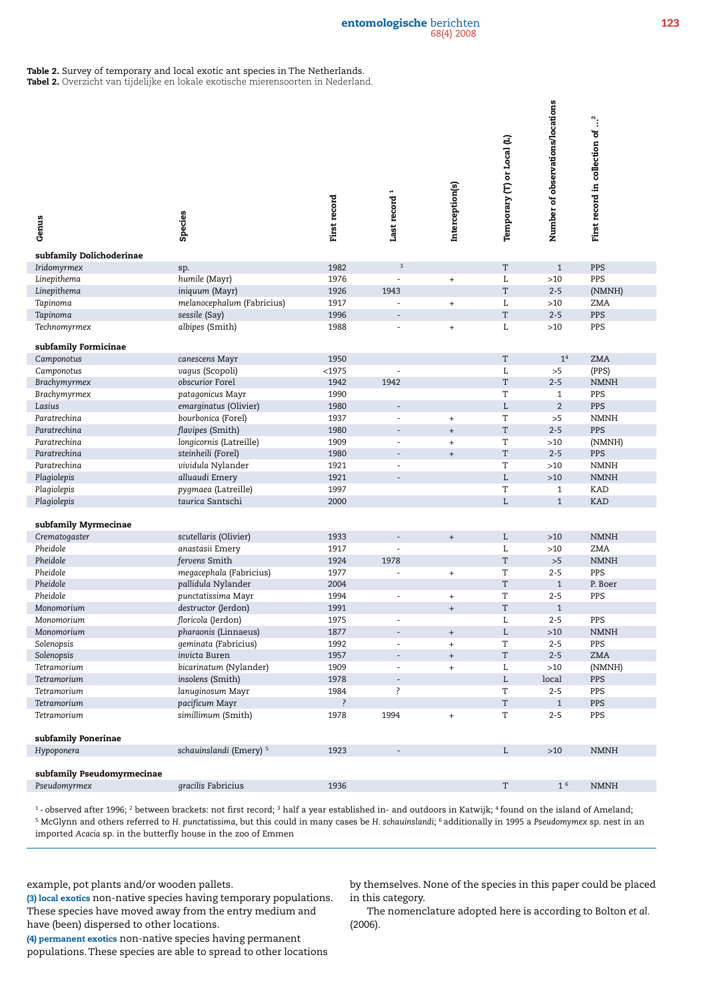#### entomologische berichten 123 68(4) 2008

#### Table 2. Survey of temporary and local exotic ant species in The Netherlands.

Tabel 2. Overzicht van tijdelijke en lokale exotische mierensoorten in Nederland.

| Genus                                   | Species                                      | First record | Last record <sup>1</sup> | Interception(s)                  | Temporary (T) or Local (L) | Number of observations/locations | $\ddot{\cdot}$<br>First record in collection of |
|-----------------------------------------|----------------------------------------------|--------------|--------------------------|----------------------------------|----------------------------|----------------------------------|-------------------------------------------------|
| subfamily Dolichoderinae<br>Iridomyrmex |                                              |              | $\sqrt{3}$               |                                  | T                          |                                  | PPS                                             |
|                                         | sp.                                          | 1982         | $\sim$                   |                                  |                            | $\mathbf{1}$<br>$>10$            | PPS                                             |
| Linepithema                             | humile (Mayr)                                | 1976<br>1926 | 1943                     | $^{+}$                           | L<br>$\mathbf T$           | $2 - 5$                          |                                                 |
| Linepithema<br>Tapinoma                 | iniquum (Mayr)<br>melanocephalum (Fabricius) | 1917         | $\overline{\phantom{a}}$ |                                  | L                          | $>10$                            | (NMNH)<br>ZMA                                   |
| Tapinoma                                | sessile (Say)                                | 1996         |                          | $^+$                             | $\mathbf T$                | $2 - 5$                          | PPS                                             |
| Technomyrmex                            | albipes (Smith)                              | 1988         | ÷,                       | $^+$                             | L                          | $>10$                            | PPS                                             |
|                                         |                                              |              |                          |                                  |                            |                                  |                                                 |
| subfamily Formicinae                    |                                              |              |                          |                                  |                            |                                  |                                                 |
| Camponotus                              | canescens Mayr                               | 1950         |                          |                                  | $\mathbf T$                | $\mathbf{1}^4$                   | <b>ZMA</b>                                      |
| Camponotus                              | vagus (Scopoli)                              | <1975        |                          |                                  | L                          | >5                               | (PPS)                                           |
| Brachymyrmex                            | obscurior Forel                              | 1942         | 1942                     |                                  | $\mathbf T$                | $2 - 5$                          | <b>NMNH</b>                                     |
| Brachymyrmex                            | patagonicus Mayr                             | 1990         |                          |                                  | T                          | $\mathbf{1}$                     | PPS                                             |
| Lasius                                  | emarginatus (Olivier)                        | 1980         | $\sim$                   |                                  | $\mathbf L$                | $\overline{2}$                   | PPS                                             |
| Paratrechina                            | bourbonica (Forel)                           | 1937         | ÷,                       | $+$                              | T                          | >5                               | <b>NMNH</b>                                     |
| Paratrechina                            | flavipes (Smith)                             | 1980         |                          | $^+$                             | T                          | $2 - 5$                          | PPS                                             |
| Paratrechina                            | longicornis (Latreille)                      | 1909         | $\sim$                   | $+$                              | T                          | $>10$                            | (NMNH)                                          |
| Paratrechina                            | steinheili (Forel)                           | 1980         | $\overline{a}$           | $^+$                             | $\mathbf T$                | $2 - 5$                          | PPS                                             |
| Paratrechina                            | vividula Nylander                            | 1921         | ÷,                       |                                  | T                          | $>10$                            | <b>NMNH</b>                                     |
| Plagiolepis                             | alluaudi Emery                               | 1921         |                          |                                  | $\mathbf L$                | $>10$                            | <b>NMNH</b>                                     |
| Plagiolepis                             | pygmaea (Latreille)                          | 1997         |                          |                                  | T                          | $\mathbf{1}$                     | KAD                                             |
| Plagiolepis                             | taurica Santschi                             | 2000         |                          |                                  | L                          | $\mathbf{1}$                     | <b>KAD</b>                                      |
|                                         |                                              |              |                          |                                  |                            |                                  |                                                 |
| subfamily Myrmecinae<br>Crematogaster   | scutellaris (Olivier)                        | 1933         |                          |                                  | L                          | $>10$                            | <b>NMNH</b>                                     |
| Pheidole                                | anastasii Emery                              | 1917         |                          | $\boldsymbol{+}$                 | L                          | ${>}10$                          | ZMA                                             |
| Pheidole                                | fervens Smith                                | 1924         | 1978                     |                                  | $\mathbf T$                | >5                               | <b>NMNH</b>                                     |
| Pheidole                                | megacephala (Fabricius)                      | 1977         | $\overline{\phantom{a}}$ | $\begin{array}{c} + \end{array}$ | T                          | $2 - 5$                          | PPS                                             |
| Pheidole                                | pallidula Nylander                           | 2004         |                          |                                  | T                          | $\mathbf{1}$                     | P. Boer                                         |
| Pheidole                                | punctatissima Mayr                           | 1994         |                          | $\begin{array}{c} + \end{array}$ | T                          | $2 - 5$                          | PPS                                             |
| Monomorium                              | destructor (Jerdon)                          | 1991         |                          | $\qquad \qquad +$                | T                          | $\mathbf{1}$                     |                                                 |
| Monomorium                              | floricola (Jerdon)                           | 1975         | ÷.                       |                                  | L                          | $2 - 5$                          | PPS                                             |
| Monomorium                              | pharaonis (Linnaeus)                         | 1877         |                          |                                  | L                          | ${>}10$                          | $\texttt{NMMH}$                                 |
| Solenopsis                              | geminata (Fabricius)                         | 1992         | ÷                        | $^{+}$                           | T                          | $2 - 5$                          | PPS                                             |
| Solenopsis                              | invicta Buren                                | 1957         |                          | $^{+}$                           | T                          | $2 - 5$                          | <b>ZMA</b>                                      |
| Tetramorium                             | bicarinatum (Nylander)                       | 1909         |                          | $\qquad \qquad +$                | L                          | >10                              | (NMNH)                                          |
| Tetramorium                             | insolens (Smith)                             | 1978         |                          |                                  | L                          | local                            | PPS                                             |
| Tetramorium                             | lanuginosum Mayr                             | 1984         | ?                        |                                  | T                          | $2 - 5$                          | PPS                                             |
| Tetramorium                             | pacificum Mayr                               | ?            |                          |                                  | $\mathbf T$                | $\mathbf{1}$                     | PPS                                             |
| Tetramorium                             | simillimum (Smith)                           | 1978         | 1994                     | $\begin{array}{c} + \end{array}$ | T                          | $2 - 5$                          | PPS                                             |
| subfamily Ponerinae                     |                                              |              |                          |                                  |                            |                                  |                                                 |
| Hypoponera                              | schauinslandi (Emery) <sup>5</sup>           | 1923         | $\overline{\phantom{a}}$ |                                  | L                          | $>10$                            | <b>NMNH</b>                                     |
|                                         |                                              |              |                          |                                  |                            |                                  |                                                 |
| subfamily Pseudomyrmecinae              |                                              |              |                          |                                  |                            |                                  |                                                 |
| Pseudomyrmex                            | gracilis Fabricius                           | 1936         |                          |                                  | T                          | 1 <sup>6</sup>                   | <b>NMNH</b>                                     |
|                                         |                                              |              |                          |                                  |                            |                                  |                                                 |

1 - observed after 1996; 2 between brackets: not first record; 3 half a year established in- and outdoors in Katwijk; 4 found on the island of Ameland; 5 McGlynn and others referred to *H. punctatissima*, but this could in many cases be *H. schauinslandi*; 6 additionally in 1995 a *Pseudomymex* sp. nest in an imported *Acacia* sp. in the butterfly house in the zoo of Emmen

example, pot plants and/or wooden pallets.

(3) local exotics non-native species having temporary populations. These species have moved away from the entry medium and have (been) dispersed to other locations.

(4) permanent exotics non-native species having permanent populations. These species are able to spread to other locations

by themselves. None of the species in this paper could be placed in this category.

The nomenclature adopted here is according to Bolton *et al.* (2006).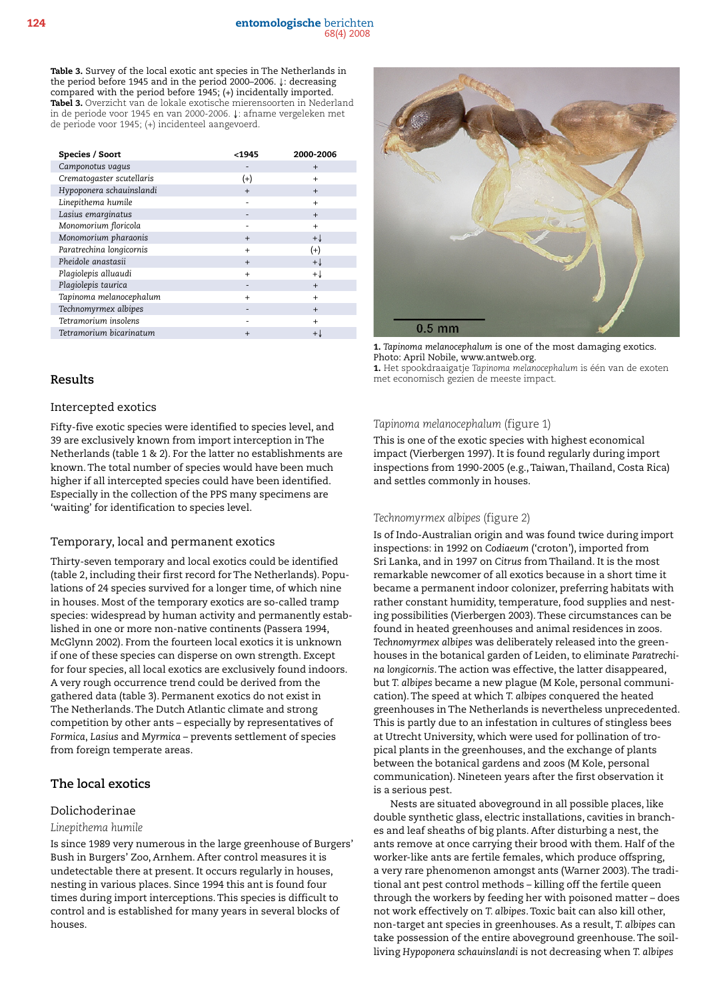Table 3. Survey of the local exotic ant species in The Netherlands in the period before 1945 and in the period 2000–2006. ↓: decreasing compared with the period before 1945; (+) incidentally imported. Tabel 3. Overzicht van de lokale exotische mierensoorten in Nederland in de periode voor 1945 en van 2000-2006. ↓: afname vergeleken met de periode voor 1945; (+) incidenteel aangevoerd.

| Species / Soort           | <1945     | 2000-2006      |
|---------------------------|-----------|----------------|
| Camponotus vagus          |           | $+$            |
| Crematogaster scutellaris | $(+)$     | $+$            |
| Hypoponera schauinslandi  | $+$       | $+$            |
| Linepithema humile        |           | $+$            |
| Lasius emarginatus        |           | $+$            |
| Monomorium floricola      |           | $+$            |
| Monomorium pharaonis      | $+$       | $+\downarrow$  |
| Paratrechina longicornis  | $\ddot{}$ | $^{(+)}$       |
| Pheidole anastasii        | $+$       | $+\downarrow$  |
| Plagiolepis alluaudi      | $\ddot{}$ | + l            |
| Plagiolepis taurica       | -         | $+$            |
| Tapinoma melanocephalum   | $\ddot{}$ | $+$            |
| Technomyrmex albipes      |           | $+$            |
| Tetramorium insolens      |           | $+$            |
| Tetramorium bicarinatum   | $+$       | $+ \downarrow$ |
|                           |           |                |

## **Results**

#### Intercepted exotics

Fifty-five exotic species were identified to species level, and 39 are exclusively known from import interception in The Netherlands (table 1 & 2). For the latter no establishments are known. The total number of species would have been much higher if all intercepted species could have been identified. Especially in the collection of the PPS many specimens are 'waiting' for identification to species level.

#### Temporary, local and permanent exotics

Thirty-seven temporary and local exotics could be identified (table 2, including their first record for The Netherlands). Populations of 24 species survived for a longer time, of which nine in houses. Most of the temporary exotics are so-called tramp species: widespread by human activity and permanently established in one or more non-native continents (Passera 1994, McGlynn 2002). From the fourteen local exotics it is unknown if one of these species can disperse on own strength. Except for four species, all local exotics are exclusively found indoors. A very rough occurrence trend could be derived from the gathered data (table 3). Permanent exotics do not exist in The Netherlands. The Dutch Atlantic climate and strong competition by other ants – especially by representatives of *Formica*, *Lasius* and *Myrmica* – prevents settlement of species from foreign temperate areas.

## **The local exotics**

## Dolichoderinae

#### *Linepithema humile*

Is since 1989 very numerous in the large greenhouse of Burgers' Bush in Burgers' Zoo, Arnhem. After control measures it is undetectable there at present. It occurs regularly in houses, nesting in various places. Since 1994 this ant is found four times during import interceptions. This species is difficult to control and is established for many years in several blocks of houses.



1. *Tapinoma melanocephalum* is one of the most damaging exotics. Photo: April Nobile, www.antweb.org.

1. Het spookdraaigatje *Tapinoma melanocephalum* is één van de exoten met economisch gezien de meeste impact.

## *Tapinoma melanocephalum* (figure 1)

This is one of the exotic species with highest economical impact (Vierbergen 1997). It is found regularly during import inspections from 1990-2005 (e.g., Taiwan, Thailand, Costa Rica) and settles commonly in houses.

#### *Technomyrmex albipes* (figure 2)

Is of Indo-Australian origin and was found twice during import inspections: in 1992 on *Codiaeum* ('croton'), imported from Sri Lanka, and in 1997 on *Citrus* from Thailand. It is the most remarkable newcomer of all exotics because in a short time it became a permanent indoor colonizer, preferring habitats with rather constant humidity, temperature, food supplies and nesting possibilities (Vierbergen 2003). These circumstances can be found in heated greenhouses and animal residences in zoos. *Technomyrmex albipes* was deliberately released into the greenhouses in the botanical garden of Leiden, to eliminate *Paratrechina longicornis*. The action was effective, the latter disappeared, but *T. albipes* became a new plague (M Kole, personal communication). The speed at which *T. albipes* conquered the heated greenhouses in The Netherlands is nevertheless unprecedented. This is partly due to an infestation in cultures of stingless bees at Utrecht University, which were used for pollination of tropical plants in the greenhouses, and the exchange of plants between the botanical gardens and zoos (M Kole, personal communication). Nineteen years after the first observation it is a serious pest.

Nests are situated aboveground in all possible places, like double synthetic glass, electric installations, cavities in branches and leaf sheaths of big plants. After disturbing a nest, the ants remove at once carrying their brood with them. Half of the worker-like ants are fertile females, which produce offspring, a very rare phenomenon amongst ants (Warner 2003). The traditional ant pest control methods – killing off the fertile queen through the workers by feeding her with poisoned matter – does not work effectively on *T. albipes*. Toxic bait can also kill other, non-target ant species in greenhouses. As a result, *T. albipes* can take possession of the entire aboveground greenhouse. The soilliving *Hypoponera schauinslandi* is not decreasing when *T. albipes*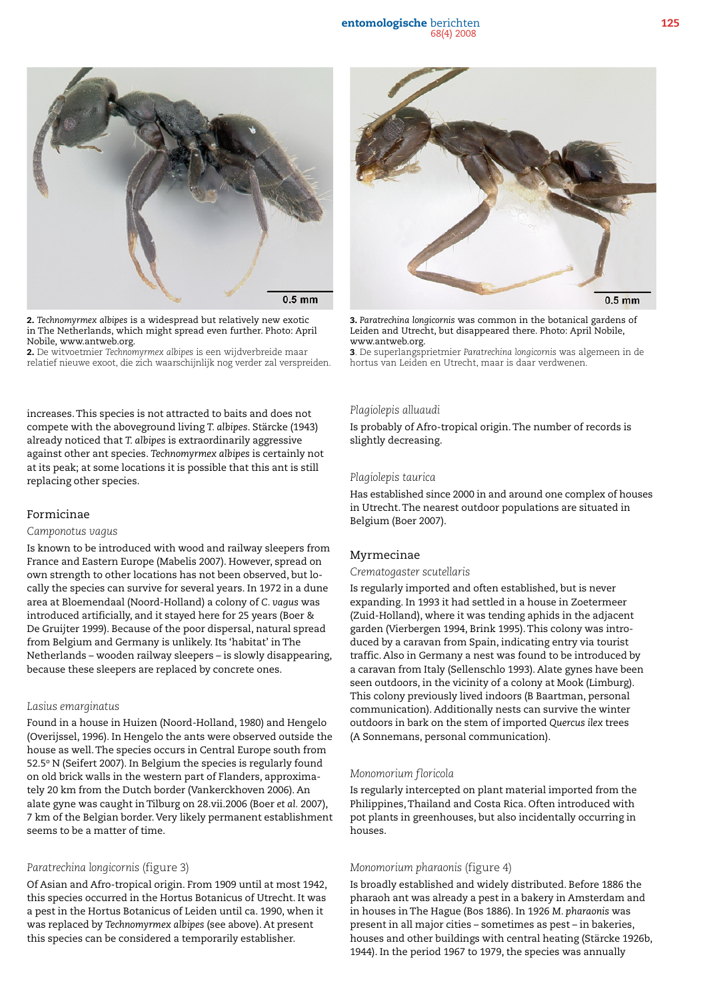

2. *Technomyrmex albipes* is a widespread but relatively new exotic in The Netherlands, which might spread even further. Photo: April Nobile, www.antweb.org.

2. De witvoetmier *Technomyrmex albipes* is een wijdverbreide maar relatief nieuwe exoot, die zich waarschijnlijk nog verder zal verspreiden.

increases. This species is not attracted to baits and does not compete with the aboveground living *T. albipes*. Stärcke (1943) already noticed that *T. albipes* is extraordinarily aggressive against other ant species. *Technomyrmex albipes* is certainly not at its peak; at some locations it is possible that this ant is still replacing other species.

## Formicinae

#### *Camponotus vagus*

Is known to be introduced with wood and railway sleepers from France and Eastern Europe (Mabelis 2007). However, spread on own strength to other locations has not been observed, but locally the species can survive for several years. In 1972 in a dune area at Bloemendaal (Noord-Holland) a colony of *C. vagus* was introduced artificially, and it stayed here for 25 years (Boer & De Gruijter 1999). Because of the poor dispersal, natural spread from Belgium and Germany is unlikely. Its 'habitat' in The Netherlands – wooden railway sleepers – is slowly disappearing, because these sleepers are replaced by concrete ones.

## *Lasius emarginatus*

Found in a house in Huizen (Noord-Holland, 1980) and Hengelo (Overijssel, 1996). In Hengelo the ants were observed outside the house as well. The species occurs in Central Europe south from 52.5° N (Seifert 2007). In Belgium the species is regularly found on old brick walls in the western part of Flanders, approximately 20 km from the Dutch border (Vankerckhoven 2006). An alate gyne was caught in Tilburg on 28.vii.2006 (Boer *et al.* 2007), 7 km of the Belgian border. Very likely permanent establishment seems to be a matter of time.

#### *Paratrechina longicornis* (figure 3)

Of Asian and Afro-tropical origin. From 1909 until at most 1942, this species occurred in the Hortus Botanicus of Utrecht. It was a pest in the Hortus Botanicus of Leiden until ca. 1990, when it was replaced by *Technomyrmex albipes* (see above). At present this species can be considered a temporarily establisher.



3. *Paratrechina longicornis* was common in the botanical gardens of Leiden and Utrecht, but disappeared there. Photo: April Nobile, www.antweb.org.

3. De superlangsprietmier *Paratrechina longicornis* was algemeen in de hortus van Leiden en Utrecht, maar is daar verdwenen.

#### *Plagiolepis alluaudi*

Is probably of Afro-tropical origin. The number of records is slightly decreasing.

#### *Plagiolepis taurica*

Has established since 2000 in and around one complex of houses in Utrecht. The nearest outdoor populations are situated in Belgium (Boer 2007).

## Myrmecinae

## *Crematogaster scutellaris*

Is regularly imported and often established, but is never expanding. In 1993 it had settled in a house in Zoetermeer (Zuid-Holland), where it was tending aphids in the adjacent garden (Vierbergen 1994, Brink 1995). This colony was introduced by a caravan from Spain, indicating entry via tourist traffic. Also in Germany a nest was found to be introduced by a caravan from Italy (Sellenschlo 1993). Alate gynes have been seen outdoors, in the vicinity of a colony at Mook (Limburg). This colony previously lived indoors (B Baartman, personal communication). Additionally nests can survive the winter outdoors in bark on the stem of imported *Quercus ilex* trees (A Sonnemans, personal communication).

#### *Monomorium floricola*

Is regularly intercepted on plant material imported from the Philippines, Thailand and Costa Rica. Often introduced with pot plants in greenhouses, but also incidentally occurring in houses.

#### *Monomorium pharaonis* (figure 4)

Is broadly established and widely distributed. Before 1886 the pharaoh ant was already a pest in a bakery in Amsterdam and in houses in The Hague (Bos 1886). In 1926 *M. pharaonis* was present in all major cities – sometimes as pest – in bakeries, houses and other buildings with central heating (Stärcke 1926b, 1944). In the period 1967 to 1979, the species was annually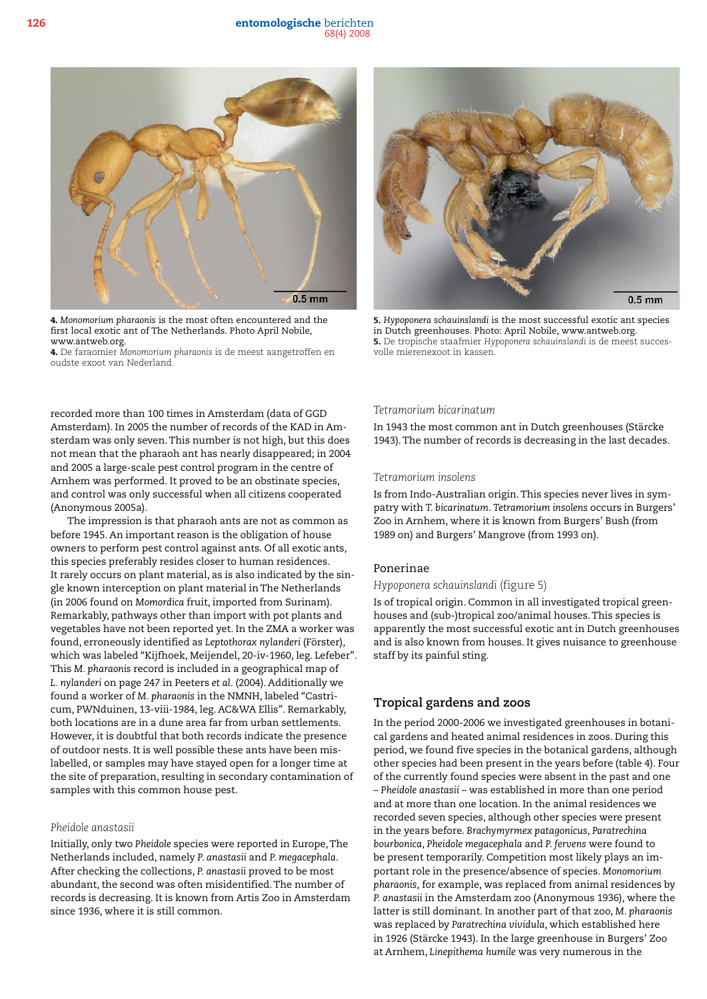126 entomologische berichten 68(4) 2008



4. *Monomorium pharaonis* is the most often encountered and the first local exotic ant of The Netherlands. Photo April Nobile, www.antweb.org.

4. De faraomier *Monomorium pharaonis* is de meest aangetroffen en oudste exoot van Nederland.

recorded more than 100 times in Amsterdam (data of GGD Amsterdam). In 2005 the number of records of the KAD in Amsterdam was only seven. This number is not high, but this does not mean that the pharaoh ant has nearly disappeared; in 2004 and 2005 a large-scale pest control program in the centre of Arnhem was performed. It proved to be an obstinate species, and control was only successful when all citizens cooperated (Anonymous 2005a).

The impression is that pharaoh ants are not as common as before 1945. An important reason is the obligation of house owners to perform pest control against ants. Of all exotic ants, this species preferably resides closer to human residences. It rarely occurs on plant material, as is also indicated by the single known interception on plant material in The Netherlands (in 2006 found on *Momordica* fruit, imported from Surinam). Remarkably, pathways other than import with pot plants and vegetables have not been reported yet. In the ZMA a worker was found, erroneously identified as *Leptothorax nylanderi* (Förster), which was labeled "Kijfhoek, Meijendel, 20-iv-1960, leg. Lefeber". This *M. pharaonis* record is included in a geographical map of *L. nylanderi* on page 247 in Peeters *et al.* (2004). Additionally we found a worker of *M. pharaonis* in the NMNH, labeled "Castricum, PWNduinen, 13-viii-1984, leg. AC&WA Ellis". Remarkably, both locations are in a dune area far from urban settlements. However, it is doubtful that both records indicate the presence of outdoor nests. It is well possible these ants have been mislabelled, or samples may have stayed open for a longer time at the site of preparation, resulting in secondary contamination of samples with this common house pest.

## *Pheidole anastasii*

Initially, only two *Pheidole* species were reported in Europe, The Netherlands included, namely *P. anastasii* and *P. megacephala*. After checking the collections, *P. anastasii* proved to be most abundant, the second was often misidentified. The number of records is decreasing. It is known from Artis Zoo in Amsterdam since 1936, where it is still common.



5. *Hypoponera schauinslandi* is the most successful exotic ant species in Dutch greenhouses. Photo: April Nobile, www.antweb.org. 5. De tropische staafmier *Hypoponera schauinslandi* is de meest succesvolle mierenexoot in kassen.

#### *Tetramorium bicarinatum*

In 1943 the most common ant in Dutch greenhouses (Stärcke 1943). The number of records is decreasing in the last decades.

#### *Tetramorium insolens*

Is from Indo-Australian origin. This species never lives in sympatry with *T. bicarinatum*. *Tetramorium insolens* occurs in Burgers' Zoo in Arnhem, where it is known from Burgers' Bush (from 1989 on) and Burgers' Mangrove (from 1993 on).

#### Ponerinae

*Hypoponera schauinslandi* (figure 5)

Is of tropical origin. Common in all investigated tropical greenhouses and (sub-)tropical zoo/animal houses. This species is apparently the most successful exotic ant in Dutch greenhouses and is also known from houses. It gives nuisance to greenhouse staff by its painful sting.

# **Tropical gardens and zoos**

In the period 2000-2006 we investigated greenhouses in botanical gardens and heated animal residences in zoos. During this period, we found five species in the botanical gardens, although other species had been present in the years before (table 4). Four of the currently found species were absent in the past and one – *Pheidole anastasii* – was established in more than one period and at more than one location. In the animal residences we recorded seven species, although other species were present in the years before. *Brachymyrmex patagonicus*, *Paratrechina bourbonica*, *Pheidole megacephala* and *P. fervens* were found to be present temporarily. Competition most likely plays an important role in the presence/absence of species. *Monomorium pharaonis,* for example, was replaced from animal residences by *P. anastasii* in the Amsterdam zoo (Anonymous 1936), where the latter is still dominant. In another part of that zoo, *M. pharaonis* was replaced by *Paratrechina vividula*, which established here in 1926 (Stärcke 1943). In the large greenhouse in Burgers' Zoo at Arnhem, *Linepithema humile* was very numerous in the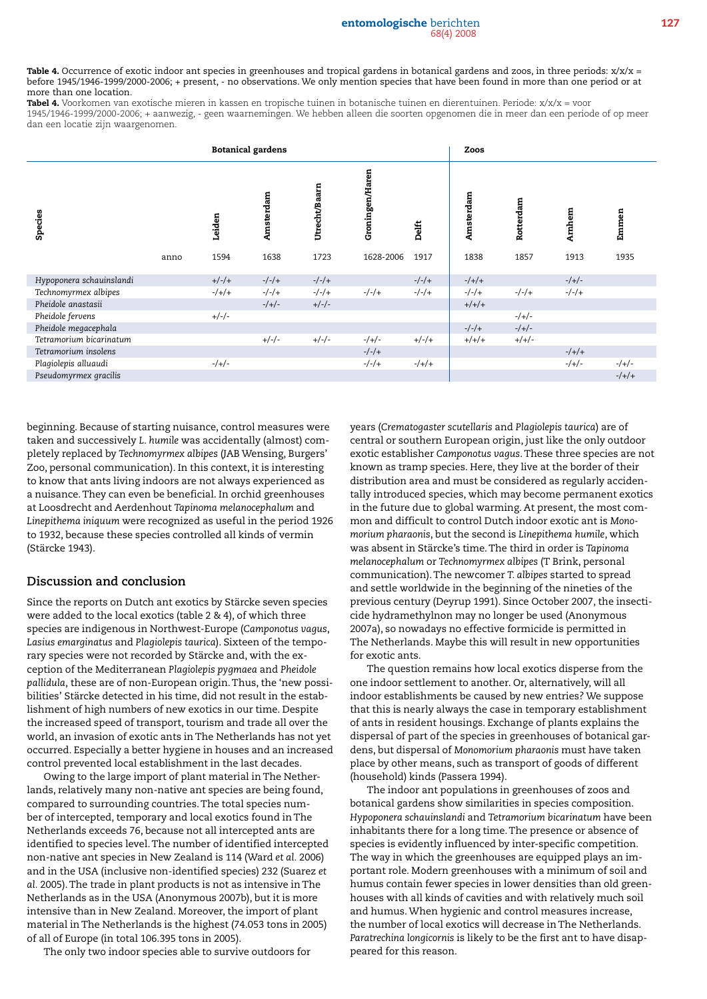#### entomologische berichten 127 68(4) 2008

Table 4. Occurrence of exotic indoor ant species in greenhouses and tropical gardens in botanical gardens and zoos, in three periods:  $x/x/x =$ before 1945/1946-1999/2000-2006; + present, - no observations. We only mention species that have been found in more than one period or at more than one location.

Tabel 4. Voorkomen van exotische mieren in kassen en tropische tuinen in botanische tuinen en dierentuinen. Periode:  $x/x/x = v$ oor 1945/1946-1999/2000-2006; + aanwezig, - geen waarnemingen. We hebben alleen die soorten opgenomen die in meer dan een periode of op meer dan een locatie zijn waargenomen.

| <b>Botanical gardens</b> |      |         |           |               |                 | Zoos    |           |           |         |         |
|--------------------------|------|---------|-----------|---------------|-----------------|---------|-----------|-----------|---------|---------|
| Species                  |      | Leiden  | Amsterdam | Utrecht/Baarn | Groningen/Haren | Delft   | Amsterdam | Rotterdam | Amhem   | Emmen   |
|                          | anno | 1594    | 1638      | 1723          | 1628-2006       | 1917    | 1838      | 1857      | 1913    | 1935    |
| Hypoponera schauinslandi |      | $+/-/+$ | $-/-/+$   | $-/-/+$       |                 | $-/-/+$ | $-/+/+$   |           | $-/+/-$ |         |
| Technomyrmex albipes     |      | $-/+/+$ | $-/-/+$   | $-/-/+$       | $-/-/+$         | $-/-/+$ | $-/-/+$   | $-/-/+$   | $-/-/+$ |         |
| Pheidole anastasii       |      |         | $-/+/-$   | $+/-/-$       |                 |         | $+/+/+$   |           |         |         |
| Pheidole fervens         |      | $+/-/-$ |           |               |                 |         |           | $-/+/-$   |         |         |
| Pheidole megacephala     |      |         |           |               |                 |         | $-/-/+$   | $-/+/-$   |         |         |
| Tetramorium bicarinatum  |      |         | $+/-/-$   | $+/-/-$       | $-/+/-$         | $+/-/+$ | $+/+/+$   | $+/+/-$   |         |         |
| Tetramorium insolens     |      |         |           |               | $-/-/+$         |         |           |           | $-/+/+$ |         |
| Plagiolepis alluaudi     |      | $-/+/-$ |           |               | $-/-/+$         | $-/+/+$ |           |           | $-/+/-$ | $-/+/-$ |
| Pseudomyrmex gracilis    |      |         |           |               |                 |         |           |           |         | $-/+/+$ |

beginning. Because of starting nuisance, control measures were taken and successively *L. humile* was accidentally (almost) completely replaced by *Technomyrmex albipes* (JAB Wensing, Burgers' Zoo, personal communication). In this context, it is interesting to know that ants living indoors are not always experienced as a nuisance. They can even be beneficial. In orchid greenhouses at Loosdrecht and Aerdenhout *Tapinoma melanocephalum* and *Linepithema iniquum* were recognized as useful in the period 1926 to 1932, because these species controlled all kinds of vermin (Stärcke 1943).

## **Discussion and conclusion**

Since the reports on Dutch ant exotics by Stärcke seven species were added to the local exotics (table 2 & 4), of which three species are indigenous in Northwest-Europe (*Camponotus vagus*, *Lasius emarginatus* and *Plagiolepis taurica*). Sixteen of the temporary species were not recorded by Stärcke and, with the exception of the Mediterranean *Plagiolepis pygmaea* and *Pheidole pallidula*, these are of non-European origin. Thus, the 'new possibilities' Stärcke detected in his time, did not result in the establishment of high numbers of new exotics in our time. Despite the increased speed of transport, tourism and trade all over the world, an invasion of exotic ants in The Netherlands has not yet occurred. Especially a better hygiene in houses and an increased control prevented local establishment in the last decades.

Owing to the large import of plant material in The Netherlands, relatively many non-native ant species are being found, compared to surrounding countries. The total species number of intercepted, temporary and local exotics found in The Netherlands exceeds 76, because not all intercepted ants are identified to species level. The number of identified intercepted non-native ant species in New Zealand is 114 (Ward *et al.* 2006) and in the USA (inclusive non-identified species) 232 (Suarez *et al.* 2005). The trade in plant products is not as intensive in The Netherlands as in the USA (Anonymous 2007b), but it is more intensive than in New Zealand. Moreover, the import of plant material in The Netherlands is the highest (74.053 tons in 2005) of all of Europe (in total 106.395 tons in 2005).

The only two indoor species able to survive outdoors for

years (*Crematogaster scutellaris* and *Plagiolepis taurica*) are of central or southern European origin, just like the only outdoor exotic establisher *Camponotus vagus*. These three species are not known as tramp species. Here, they live at the border of their distribution area and must be considered as regularly accidentally introduced species, which may become permanent exotics in the future due to global warming. At present, the most common and difficult to control Dutch indoor exotic ant is *Monomorium pharaonis*, but the second is *Linepithema humile*, which was absent in Stärcke's time. The third in order is *Tapinoma melanocephalum* or *Technomyrmex albipes* (T Brink, personal communication). The newcomer *T. albipes* started to spread and settle worldwide in the beginning of the nineties of the previous century (Deyrup 1991). Since October 2007, the insecticide hydramethylnon may no longer be used (Anonymous 2007a), so nowadays no effective formicide is permitted in The Netherlands. Maybe this will result in new opportunities for exotic ants.

The question remains how local exotics disperse from the one indoor settlement to another. Or, alternatively, will all indoor establishments be caused by new entries? We suppose that this is nearly always the case in temporary establishment of ants in resident housings. Exchange of plants explains the dispersal of part of the species in greenhouses of botanical gardens, but dispersal of *Monomorium pharaonis* must have taken place by other means, such as transport of goods of different (household) kinds (Passera 1994).

The indoor ant populations in greenhouses of zoos and botanical gardens show similarities in species composition. *Hypoponera schauinslandi* and *Tetramorium bicarinatum* have been inhabitants there for a long time. The presence or absence of species is evidently influenced by inter-specific competition. The way in which the greenhouses are equipped plays an important role. Modern greenhouses with a minimum of soil and humus contain fewer species in lower densities than old greenhouses with all kinds of cavities and with relatively much soil and humus. When hygienic and control measures increase, the number of local exotics will decrease in The Netherlands. *Paratrechina longicornis* is likely to be the first ant to have disappeared for this reason.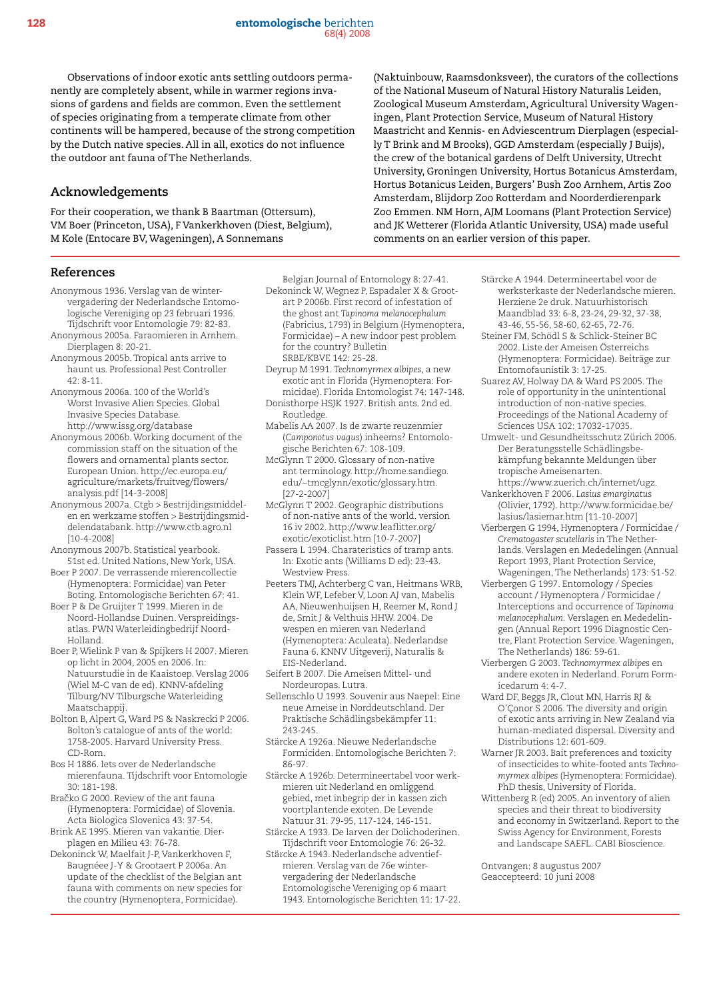Observations of indoor exotic ants settling outdoors permanently are completely absent, while in warmer regions invasions of gardens and fields are common. Even the settlement of species originating from a temperate climate from other continents will be hampered, because of the strong competition by the Dutch native species. All in all, exotics do not influence the outdoor ant fauna of The Netherlands.

## **Acknowledgements**

For their cooperation, we thank B Baartman (Ottersum), VM Boer (Princeton, USA), F Vankerkhoven (Diest, Belgium), M Kole (Entocare BV, Wageningen), A Sonnemans

**References**

- Anonymous 1936. Verslag van de wintervergadering der Nederlandsche Entomologische Vereniging op 23 februari 1936. Tijdschrift voor Entomologie 79: 82-83.
- Anonymous 2005a. Faraomieren in Arnhem. Dierplagen 8: 20-21.
- Anonymous 2005b. Tropical ants arrive to haunt us. Professional Pest Controller  $42.8 - 11$
- Anonymous 2006a. 100 of the World's Worst Invasive Alien Species. Global Invasive Species Database. http://www.issg.org/database
- Anonymous 2006b. Working document of the commission staff on the situation of the flowers and ornamental plants sector. European Union. http://ec.europa.eu/ agriculture/markets/fruitveg/flowers/ analysis.pdf [14-3-2008]
- Anonymous 2007a. Ctgb > Bestrijdingsmiddelen en werkzame stoffen > Bestrijdingsmiddelendatabank. http://www.ctb.agro.nl [10-4-2008]
- Anonymous 2007b. Statistical yearbook. 51st ed. United Nations, New York, USA.
- Boer P 2007. De verrassende mierencollectie (Hymenoptera: Formicidae) van Peter Boting. Entomologische Berichten 67: 41.
- Boer P & De Gruijter T 1999. Mieren in de Noord-Hollandse Duinen. Verspreidingsatlas. PWN Waterleidingbedrijf Noord-Holland.
- Boer P, Wielink P van & Spijkers H 2007. Mieren op licht in 2004, 2005 en 2006. In: Natuurstudie in de Kaaistoep. Verslag 2006 (Wiel M-C van de ed). KNNV-afdeling Tilburg/NV Tilburgsche Waterleiding Maatschappij.
- Bolton B, Alpert G, Ward PS & Naskrecki P 2006. Bolton's catalogue of ants of the world: 1758-2005. Harvard University Press. CD-Rom.
- Bos H 1886. Iets over de Nederlandsche mierenfauna. Tijdschrift voor Entomologie 30: 181-198.
- Bračko G 2000. Review of the ant fauna (Hymenoptera: Formicidae) of Slovenia. Acta Biologica Slovenica 43: 37-54.
- Brink AE 1995. Mieren van vakantie. Dierplagen en Milieu 43: 76-78.
- Dekoninck W, Maelfait J-P, Vankerkhoven F, Baugnéee J-Y & Grootaert P 2006a. An update of the checklist of the Belgian ant fauna with comments on new species for the country (Hymenoptera, Formicidae).

(Naktuinbouw, Raamsdonksveer), the curators of the collections of the National Museum of Natural History Naturalis Leiden, Zoological Museum Amsterdam, Agricultural University Wageningen, Plant Protection Service, Museum of Natural History Maastricht and Kennis- en Adviescentrum Dierplagen (especially T Brink and M Brooks), GGD Amsterdam (especially J Buijs), the crew of the botanical gardens of Delft University, Utrecht University, Groningen University, Hortus Botanicus Amsterdam, Hortus Botanicus Leiden, Burgers' Bush Zoo Arnhem, Artis Zoo Amsterdam, Blijdorp Zoo Rotterdam and Noorderdierenpark Zoo Emmen. NM Horn, AJM Loomans (Plant Protection Service) and JK Wetterer (Florida Atlantic University, USA) made useful comments on an earlier version of this paper.

Belgian Journal of Entomology 8: 27-41.

- Dekoninck W, Wegnez P, Espadaler X & Grootart P 2006b. First record of infestation of the ghost ant *Tapinoma melanocephalum* (Fabricius, 1793) in Belgium (Hymenoptera, Formicidae) – A new indoor pest problem for the country? Bulletin SRBE/KBVE 142: 25-28.
- Deyrup M 1991. *Technomyrmex albipes*, a new exotic ant in Florida (Hymenoptera: Formicidae). Florida Entomologist 74: 147-148.
- Donisthorpe HSJK 1927. British ants. 2nd ed. Routledge.
- Mabelis AA 2007. Is de zwarte reuzenmier (*Camponotus vagus*) inheems? Entomologische Berichten 67: 108-109.
- McGlynn T 2000. Glossary of non-native ant terminology. http://home.sandiego. edu/~tmcglynn/exotic/glossary.htm. [27-2-2007]
- McGlynn T 2002. Geographic distributions of non-native ants of the world. version 16 iv 2002. http://www.leaflitter.org/ exotic/exoticlist.htm [10-7-2007]
- Passera L 1994. Charateristics of tramp ants. In: Exotic ants (Williams D ed): 23-43. Westview Press.
- Peeters TMJ, Achterberg C van, Heitmans WRB, Klein WF, Lefeber V, Loon AJ van, Mabelis AA, Nieuwenhuijsen H, Reemer M, Rond J de, Smit J & Velthuis HHW. 2004. De wespen en mieren van Nederland (Hymenoptera: Aculeata). Nederlandse Fauna 6. KNNV Uitgeverij, Naturalis & EIS-Nederland.
- Seifert B 2007. Die Ameisen Mittel- und Nordeuropas. Lutra.
- Sellenschlo U 1993. Souvenir aus Naepel: Eine neue Ameise in Norddeutschland. Der Praktische Schädlingsbekämpfer 11: 243-245.
- Stärcke A 1926a. Nieuwe Nederlandsche Formiciden. Entomologische Berichten 7: 86-97.
- Stärcke A 1926b. Determineertabel voor werkmieren uit Nederland en omliggend gebied, met inbegrip der in kassen zich voortplantende exoten. De Levende Natuur 31: 79-95, 117-124, 146-151.
- Stärcke A 1933. De larven der Dolichoderinen. Tijdschrift voor Entomologie 76: 26-32.
- Stärcke A 1943. Nederlandsche adventiefmieren. Verslag van de 76e wintervergadering der Nederlandsche Entomologische Vereniging op 6 maart 1943. Entomologische Berichten 11: 17-22.
- Stärcke A 1944. Determineertabel voor de werksterkaste der Nederlandsche mieren. Herziene 2e druk. Natuurhistorisch Maandblad 33: 6-8, 23-24, 29-32, 37-38, 43-46, 55-56, 58-60, 62-65, 72-76.
- Steiner FM, Schödl S & Schlick-Steiner BC 2002. Liste der Ameisen Österreichs (Hymenoptera: Formicidae). Beiträge zur Entomofaunistik 3: 17-25.
- Suarez AV, Holway DA & Ward PS 2005. The role of opportunity in the unintentional introduction of non-native species. Proceedings of the National Academy of Sciences USA 102: 17032-17035.
- Umwelt- und Gesundheitsschutz Zürich 2006. Der Beratungsstelle Schädlingsbekämpfung bekannte Meldungen über tropische Ameisenarten. https://www.zuerich.ch/internet/ugz.
- Vankerkhoven F 2006. *Lasius emarginatus* (Olivier, 1792). http://www.formicidae.be/ lasius/lasiemar.htm [11-10-2007]
- Vierbergen G 1994, Hymenoptera / Formicidae / *Crematogaster scutellaris* in The Netherlands. Verslagen en Mededelingen (Annual Report 1993, Plant Protection Service, Wageningen, The Netherlands) 173: 51-52.
- Vierbergen G 1997. Entomology / Species account / Hymenoptera / Formicidae / Interceptions and occurrence of *Tapinoma melanocephalum.* Verslagen en Mededelingen (Annual Report 1996 Diagnostic Centre, Plant Protection Service. Wageningen, The Netherlands) 186: 59-61.
- Vierbergen G 2003. *Technomyrmex albipes* en andere exoten in Nederland. Forum Formicedarum 4: 4-7.
- Ward DF, Beggs JR, Clout MN, Harris RJ & O'Çonor S 2006. The diversity and origin of exotic ants arriving in New Zealand via human-mediated dispersal. Diversity and Distributions 12: 601-609.
- Warner JR 2003. Bait preferences and toxicity of insecticides to white-footed ants *Technomyrmex albipes* (Hymenoptera: Formicidae). PhD thesis, University of Florida.
- Wittenberg R (ed) 2005. An inventory of alien species and their threat to biodiversity and economy in Switzerland. Report to the Swiss Agency for Environment, Forests and Landscape SAEFL. CABI Bioscience.

Ontvangen: 8 augustus 2007 Geaccepteerd: 10 juni 2008